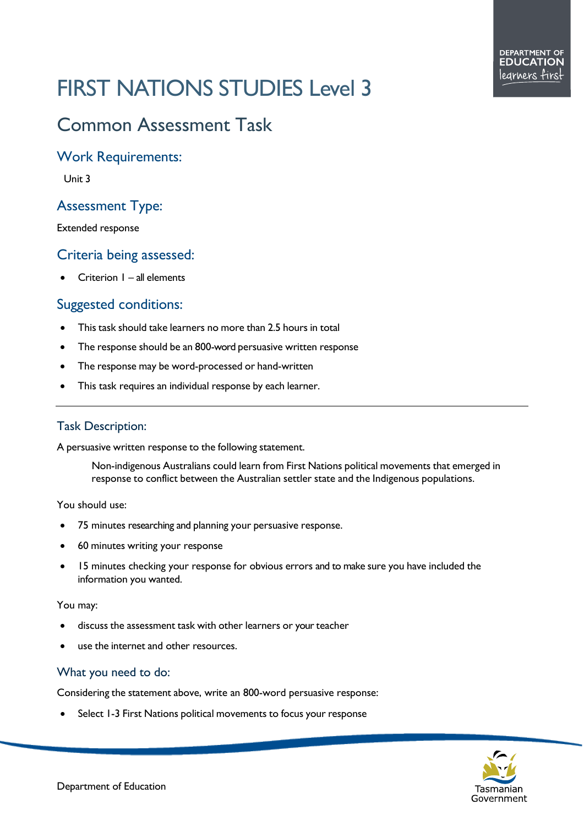# FIRST NATIONS STUDIES Level 3

# Common Assessment Task

### Work Requirements:

Unit 3

# Assessment Type:

Extended response

# Criteria being assessed:

• Criterion 1 – all elements

# Suggested conditions:

- This task should take learners no more than 2.5 hours in total
- The response should be an 800-word persuasive written response
- The response may be word-processed or hand-written
- This task requires an individual response by each learner.

#### Task Description:

A persuasive written response to the following statement.

Non-indigenous Australians could learn from First Nations political movements that emerged in response to conflict between the Australian settler state and the Indigenous populations.

#### You should use:

- 75 minutes researching and planning your persuasive response.
- 60 minutes writing your response
- 15 minutes checking your response for obvious errors and to make sure you have included the information you wanted.

#### You may:

- discuss the assessment task with other learners or your teacher
- use the internet and other resources.

#### What you need to do:

Considering the statement above, write an 800-word persuasive response:

Select 1-3 First Nations political movements to focus your response